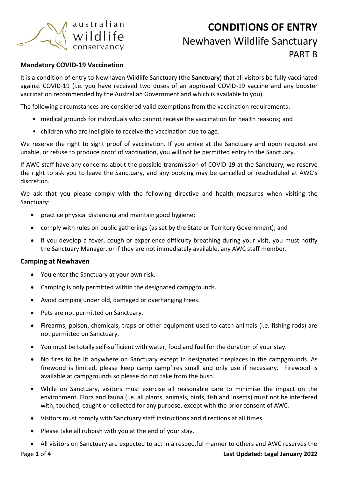

# **CONDITIONS OF ENTRY** Newhaven Wildlife Sanctuary PART B

### **Mandatory COVID-19 Vaccination**

It is a condition of entry to Newhaven Wildlife Sanctuary (the **Sanctuary**) that all visitors be fully vaccinated against COVID-19 (i.e. you have received two doses of an approved COVID-19 vaccine and any booster vaccination recommended by the Australian Government and which is available to you).

The following circumstances are considered valid exemptions from the vaccination requirements:

- medical grounds for individuals who cannot receive the vaccination for health reasons; and
- children who are ineligible to receive the vaccination due to age.

We reserve the right to sight proof of vaccination. If you arrive at the Sanctuary and upon request are unable, or refuse to produce proof of vaccination, you will not be permitted entry to the Sanctuary.

If AWC staff have any concerns about the possible transmission of COVID-19 at the Sanctuary, we reserve the right to ask you to leave the Sanctuary, and any booking may be cancelled or rescheduled at AWC's discretion.

We ask that you please comply with the following directive and health measures when visiting the Sanctuary:

- practice physical distancing and maintain good hygiene;
- comply with rules on public gatherings (as set by the State or Territory Government); and
- if you develop a fever, cough or experience difficulty breathing during your visit, you must notify the Sanctuary Manager, or if they are not immediately available, any AWC staff member.

### **Camping at Newhaven**

- You enter the Sanctuary at your own risk.
- Camping is only permitted within the designated campgrounds.
- Avoid camping under old, damaged or overhanging trees.
- Pets are not permitted on Sanctuary.
- Firearms, poison, chemicals, traps or other equipment used to catch animals (i.e. fishing rods) are not permitted on Sanctuary.
- You must be totally self-sufficient with water, food and fuel for the duration of your stay.
- No fires to be lit anywhere on Sanctuary except in designated fireplaces in the campgrounds. As firewood is limited, please keep camp campfires small and only use if necessary. Firewood is available at campgrounds so please do not take from the bush.
- While on Sanctuary, visitors must exercise all reasonable care to minimise the impact on the environment. Flora and fauna (i.e. all plants, animals, birds, fish and insects) must not be interfered with, touched, caught or collected for any purpose, except with the prior consent of AWC.
- Visitors must comply with Sanctuary staff instructions and directions at all times.
- Please take all rubbish with you at the end of your stay.
- All visitors on Sanctuary are expected to act in a respectful manner to others and AWC reserves the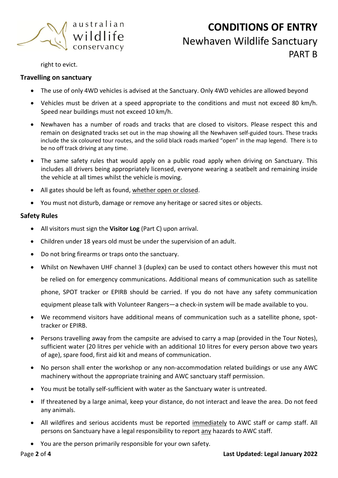

# **CONDITIONS OF ENTRY** Newhaven Wildlife Sanctuary PART<sub>R</sub>

right to evict.

### **Travelling on sanctuary**

- The use of only 4WD vehicles is advised at the Sanctuary. Only 4WD vehicles are allowed beyond
- Vehicles must be driven at a speed appropriate to the conditions and must not exceed 80 km/h. Speed near buildings must not exceed 10 km/h.
- Newhaven has a number of roads and tracks that are closed to visitors. Please respect this and remain on designated tracks set out in the map showing all the Newhaven self-guided tours. These tracks include the six coloured tour routes, and the solid black roads marked "open" in the map legend. There is to be no off track driving at any time.
- The same safety rules that would apply on a public road apply when driving on Sanctuary. This includes all drivers being appropriately licensed, everyone wearing a seatbelt and remaining inside the vehicle at all times whilst the vehicle is moving.
- All gates should be left as found, whether open or closed.
- You must not disturb, damage or remove any heritage or sacred sites or objects.

### **Safety Rules**

- All visitors must sign the **Visitor Log** (Part C) upon arrival.
- Children under 18 years old must be under the supervision of an adult.
- Do not bring firearms or traps onto the sanctuary.
- Whilst on Newhaven UHF channel 3 (duplex) can be used to contact others however this must not be relied on for emergency communications. Additional means of communication such as satellite phone, SPOT tracker or EPIRB should be carried. If you do not have any safety communication equipment please talk with Volunteer Rangers—a check-in system will be made available to you.
- We recommend visitors have additional means of communication such as a satellite phone, spottracker or EPIRB.
- Persons travelling away from the campsite are advised to carry a map (provided in the Tour Notes), sufficient water (20 litres per vehicle with an additional 10 litres for every person above two years of age), spare food, first aid kit and means of communication.
- No person shall enter the workshop or any non-accommodation related buildings or use any AWC machinery without the appropriate training and AWC sanctuary staff permission.
- You must be totally self-sufficient with water as the Sanctuary water is untreated.
- If threatened by a large animal, keep your distance, do not interact and leave the area. Do not feed any animals.
- All wildfires and serious accidents must be reported immediately to AWC staff or camp staff. All persons on Sanctuary have a legal responsibility to report any hazards to AWC staff.
- You are the person primarily responsible for your own safety.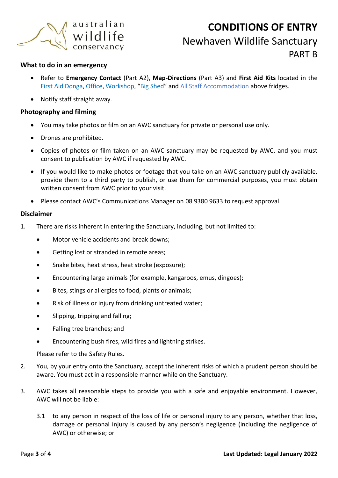

# **CONDITIONS OF ENTRY** Newhaven Wildlife Sanctuary PART<sub>R</sub>

### **What to do in an emergency**

- Refer to **Emergency Contact** (Part A2), **Map-Directions** (Part A3) and **First Aid Kits** located in the First Aid Donga, Office, Workshop, "Big Shed" and All Staff Accommodation above fridges.
- Notify staff straight away.

### **Photography and filming**

- You may take photos or film on an AWC sanctuary for private or personal use only.
- Drones are prohibited.
- Copies of photos or film taken on an AWC sanctuary may be requested by AWC, and you must consent to publication by AWC if requested by AWC.
- If you would like to make photos or footage that you take on an AWC sanctuary publicly available, provide them to a third party to publish, or use them for commercial purposes, you must obtain written consent from AWC prior to your visit.
- Please contact AWC's Communications Manager on 08 9380 9633 to request approval.

#### **Disclaimer**

- 1. There are risks inherent in entering the Sanctuary, including, but not limited to:
	- Motor vehicle accidents and break downs;
	- Getting lost or stranded in remote areas;
	- Snake bites, heat stress, heat stroke (exposure);
	- Encountering large animals (for example, kangaroos, emus, dingoes);
	- Bites, stings or allergies to food, plants or animals;
	- Risk of illness or injury from drinking untreated water;
	- Slipping, tripping and falling;
	- Falling tree branches; and
	- Encountering bush fires, wild fires and lightning strikes.

Please refer to the Safety Rules.

- 2. You, by your entry onto the Sanctuary, accept the inherent risks of which a prudent person should be aware. You must act in a responsible manner while on the Sanctuary.
- 3. AWC takes all reasonable steps to provide you with a safe and enjoyable environment. However, AWC will not be liable:
	- 3.1 to any person in respect of the loss of life or personal injury to any person, whether that loss, damage or personal injury is caused by any person's negligence (including the negligence of AWC) or otherwise; or